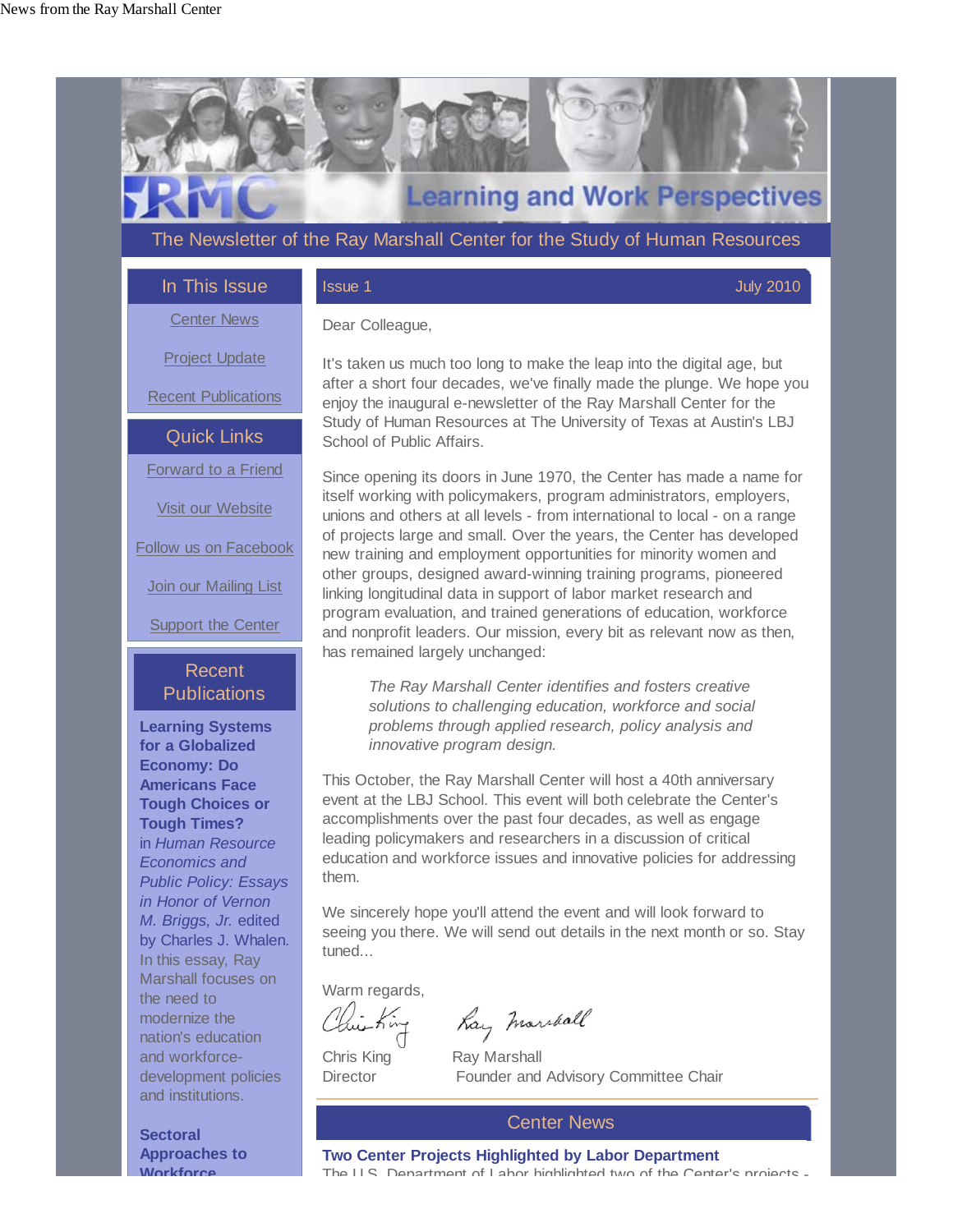

Warm regards,

Chris King Ray Marshall

hay marshall

Director Founder and Advisory Committee Chair

# Center News

**Two Center Projects Highlighted by Labor Department** The U S Department of Labor highlighted two of the Center's projects -

In this essay, Ray Marshall focuses on the need to modernize the nation's education and workforcedevelopment policies and institutions.

**Sectoral Approaches to Workforce**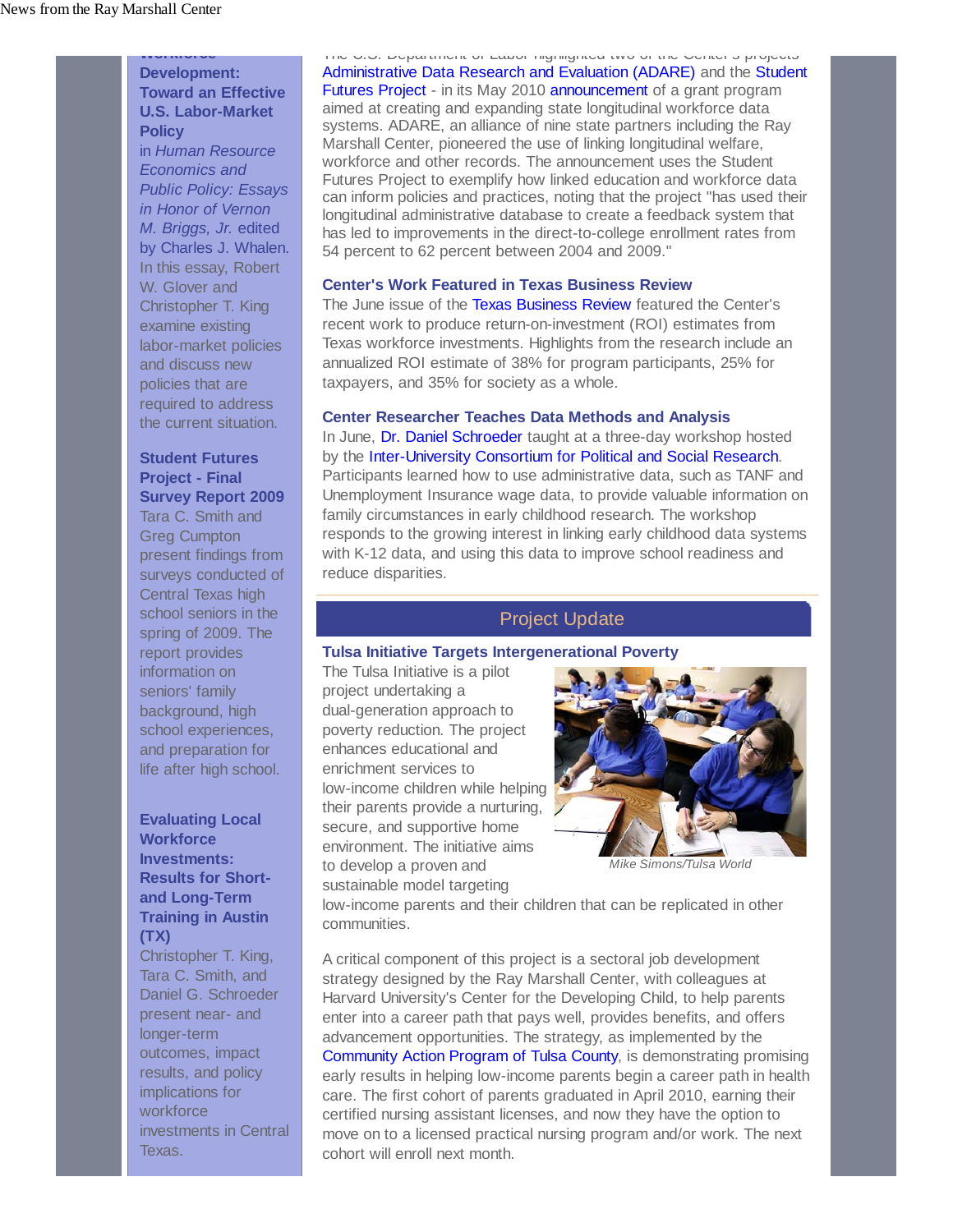**Workforce Development: Toward an Effective U.S. Labor-Market Policy** in *Human Resource*

*Economics and Public Policy: Essays in Honor of Vernon M. Briggs, Jr.* edited by Charles J. Whalen. In this essay, Robert W. Glover and Christopher T. King examine existing labor-market policies and discuss new policies that are required to address the current situation.

### **Student Futures Project - Final Survey Report 2009**

Tara C. Smith and Greg Cumpton present findings from surveys conducted of Central Texas high school seniors in the spring of 2009. The report provides information on seniors' family background, high school experiences, and preparation for life after high school.

# **Evaluating Local Workforce Investments: Results for Shortand Long-Term Training in Austin (TX)**

Christopher T. King, Tara C. Smith, and Daniel G. Schroeder present near- and longer-term outcomes, impact results, and policy implications for workforce investments in Central Texas.

The U.S. Department of Labor highlighted two of the Center s projects - Administrative Data Research and Evaluation (ADARE) and the Student Futures Project - in its May 2010 announcement of a grant program aimed at creating and expanding state longitudinal workforce data systems. ADARE, an alliance of nine state partners including the Ray Marshall Center, pioneered the use of linking longitudinal welfare, workforce and other records. The announcement uses the Student Futures Project to exemplify how linked education and workforce data can inform policies and practices, noting that the project "has used their longitudinal administrative database to create a feedback system that has led to improvements in the direct-to-college enrollment rates from 54 percent to 62 percent between 2004 and 2009."

### **Center's Work Featured in Texas Business Review**

The June issue of the Texas Business Review featured the Center's recent work to produce return-on-investment (ROI) estimates from Texas workforce investments. Highlights from the research include an annualized ROI estimate of 38% for program participants, 25% for taxpayers, and 35% for society as a whole.

**Center Researcher Teaches Data Methods and Analysis** In June, Dr. Daniel Schroeder taught at a three-day workshop hosted by the Inter-University Consortium for Political and Social Research. Participants learned how to use administrative data, such as TANF and Unemployment Insurance wage data, to provide valuable information on family circumstances in early childhood research. The workshop responds to the growing interest in linking early childhood data systems with K-12 data, and using this data to improve school readiness and reduce disparities.

#### Project Update

#### **Tulsa Initiative Targets Intergenerational Poverty**

The Tulsa Initiative is a pilot project undertaking a dual-generation approach to poverty reduction. The project enhances educational and enrichment services to low-income children while helping their parents provide a nurturing, secure, and supportive home environment. The initiative aims to develop a proven and sustainable model targeting



*Mike Simons/Tulsa World*

low-income parents and their children that can be replicated in other communities.

A critical component of this project is a sectoral job development strategy designed by the Ray Marshall Center, with colleagues at Harvard University's Center for the Developing Child, to help parents enter into a career path that pays well, provides benefits, and offers advancement opportunities. The strategy, as implemented by the Community Action Program of Tulsa County, is demonstrating promising early results in helping low-income parents begin a career path in health care. The first cohort of parents graduated in April 2010, earning their certified nursing assistant licenses, and now they have the option to move on to a licensed practical nursing program and/or work. The next cohort will enroll next month.